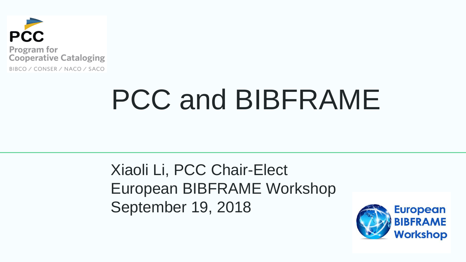

# PCC and BIBFRAME

Xiaoli Li, PCC Chair-Elect European BIBFRAME Workshop September 19, 2018

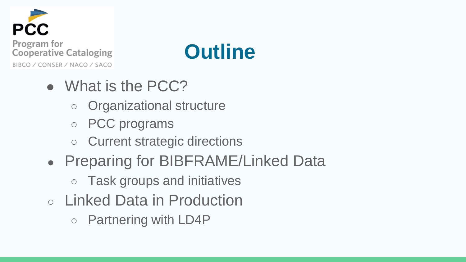



- What is the PCC?
	- Organizational structure
	- PCC programs
	- Current strategic directions
- Preparing for BIBFRAME/Linked Data
	- Task groups and initiatives
- Linked Data in Production
	- Partnering with LD4P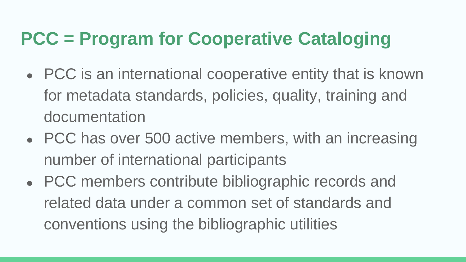## **PCC = Program for Cooperative Cataloging**

- PCC is an international cooperative entity that is known for metadata standards, policies, quality, training and documentation
- PCC has over 500 active members, with an increasing number of international participants
- PCC members contribute bibliographic records and related data under a common set of standards and conventions using the bibliographic utilities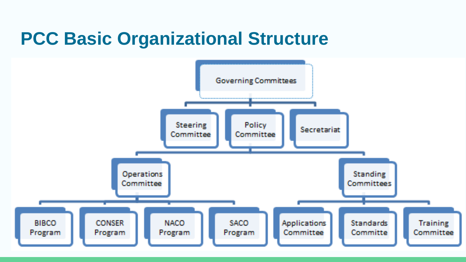### **PCC Basic Organizational Structure**

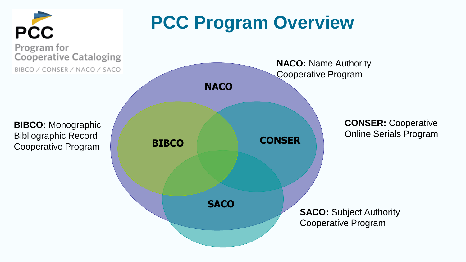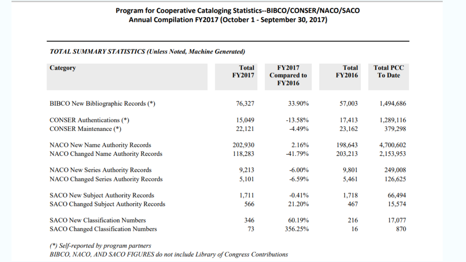#### Program for Cooperative Cataloging Statistics--BIBCO/CONSER/NACO/SACO Annual Compilation FY2017 (October 1 - September 30, 2017)

#### **TOTAL SUMMARY STATISTICS (Unless Noted, Machine Generated)**

| <b>Category</b>                               | <b>Total</b><br><b>FY2017</b> | <b>FY2017</b><br><b>Compared to</b><br><b>FY2016</b> | <b>Total</b><br><b>FY2016</b> | <b>Total PCC</b><br><b>To Date</b> |
|-----------------------------------------------|-------------------------------|------------------------------------------------------|-------------------------------|------------------------------------|
| BIBCO New Bibliographic Records (*)           | 76,327                        | 33.90%                                               | 57,003                        | 1,494,686                          |
| <b>CONSER Authentications</b> (*)             | 15,049                        | $-13.58\%$                                           | 17,413                        | 1,289,116                          |
| <b>CONSER Maintenance</b> (*)                 | 22,121                        | -4.49%                                               | 23,162                        | 379,298                            |
| <b>NACO New Name Authority Records</b>        | 202,930                       | 2.16%                                                | 198,643                       | 4,700,602                          |
| NACO Changed Name Authority Records           | 118,283                       | -41.79%                                              | 203,213                       | 2,153,953                          |
| <b>NACO New Series Authority Records</b>      | 9,213                         | $-6.00\%$                                            | 9,801                         | 249,008                            |
| <b>NACO Changed Series Authority Records</b>  | 5,101                         | $-6.59\%$                                            | 5,461                         | 126,625                            |
| <b>SACO New Subject Authority Records</b>     | 1,711                         | $-0.41%$                                             | 1,718                         | 66,494                             |
| <b>SACO Changed Subject Authority Records</b> | 566                           | 21.20%                                               | 467                           | 15,574                             |
| <b>SACO New Classification Numbers</b>        | 346                           | 60.19%                                               | 216                           | 17,077                             |
| <b>SACO Changed Classification Numbers</b>    | 73                            | 356.25%                                              | 16                            | 870                                |

(\*) Self-reported by program partners BIBCO, NACO, AND SACO FIGURES do not include Library of Congress Contributions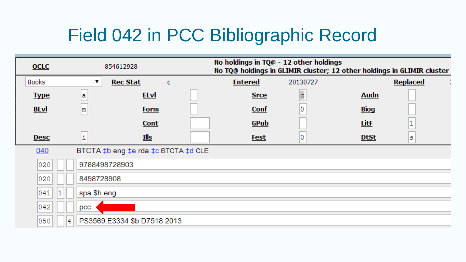### Field 042 in PCC Bibliographic Record

| <b>OCLC</b>                                | 854612928                        |                 |   | No holdings in TQ@ - 12 other holdings<br>No TQ@ holdings in GLIMIR cluster; 12 other holdings in GLIMIR cluster |          |             |                 |  |
|--------------------------------------------|----------------------------------|-----------------|---|------------------------------------------------------------------------------------------------------------------|----------|-------------|-----------------|--|
| <b>Books</b>                               |                                  | <b>Rec Stat</b> | c | <b>Entered</b>                                                                                                   | 20130727 |             | <b>Replaced</b> |  |
| <b>Type</b>                                | a                                | <b>ELvI</b>     |   | <b>Srce</b>                                                                                                      | d        | <b>Audn</b> |                 |  |
| <b>BLvl</b>                                | m                                | <b>Form</b>     |   | <b>Conf</b>                                                                                                      | 0        | <b>Biog</b> |                 |  |
|                                            |                                  | <b>Cont</b>     |   | GPub                                                                                                             |          | <b>LitF</b> | 1               |  |
| <b>Desc</b>                                | i                                | <u>Ills</u>     |   | <b>Fest</b>                                                                                                      |          | <b>DtSt</b> | s               |  |
| BTCTA ‡b eng ‡e rda ‡c BTCTA ‡d CLE<br>040 |                                  |                 |   |                                                                                                                  |          |             |                 |  |
| 020                                        | 9788498728903                    |                 |   |                                                                                                                  |          |             |                 |  |
| 020                                        | 8498728908                       |                 |   |                                                                                                                  |          |             |                 |  |
| 041                                        | spa \$h eng                      |                 |   |                                                                                                                  |          |             |                 |  |
| 042                                        | pcc                              |                 |   |                                                                                                                  |          |             |                 |  |
| 050                                        | PS3569.E3334 \$b D7518 2013<br>4 |                 |   |                                                                                                                  |          |             |                 |  |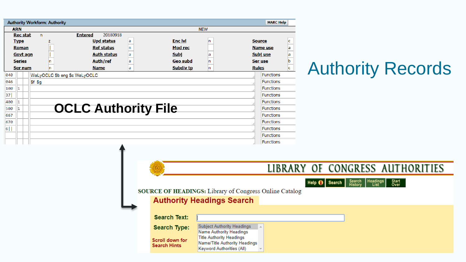|              |               |                 | <b>Authority Workform: Authority</b> |                               |   |                  |            |               | <b>MARC Help</b>     |
|--------------|---------------|-----------------|--------------------------------------|-------------------------------|---|------------------|------------|---------------|----------------------|
|              | <b>ARN</b>    |                 |                                      |                               |   |                  | <b>NEW</b> |               |                      |
|              |               | <b>Rec stat</b> | $\mathsf{n}$                         | <b>Entered</b><br>20180918    |   |                  |            |               |                      |
|              | <b>Type</b>   |                 |                                      | <b>Upd status</b>             | a | <b>Enc IvI</b>   | n          | <b>Source</b> | c                    |
| <b>Roman</b> |               |                 |                                      | <b>Ref status</b>             | n | Mod rec          |            |               | <b>Name use</b><br>a |
| Govt agn     |               |                 |                                      | <b>Auth status</b>            | a | <b>Subj</b>      | a          |               | Subj use<br>a        |
|              | <b>Series</b> |                 |                                      | Auth/ref                      | a | <b>Geo subd</b>  | n          | Ser use       | b                    |
|              |               | Ser num         | n                                    | <b>Name</b>                   | a | <b>Subdiv tp</b> | n          | <b>Rules</b>  | c                    |
| 040          |               |                 |                                      | WaLyOCLC \$b eng \$c WaLyOCLC |   |                  |            |               | <b>Functions</b>     |
| 046          |               |                 | $$f$ $$g$                            |                               |   |                  |            |               | <b>Functions</b>     |
| 100          |               |                 |                                      |                               |   |                  |            |               | <b>Functions</b>     |
| 37           |               |                 |                                      |                               |   |                  |            |               | <b>Functions</b>     |
| 400          |               |                 |                                      |                               |   |                  |            |               | <b>Functions</b>     |
| 500          |               |                 |                                      | <b>OCLC Authority File</b>    |   |                  |            |               | <b>Functions</b>     |
| 667          |               |                 |                                      |                               |   |                  |            |               | <b>Functions</b>     |
| 670          |               |                 |                                      |                               |   |                  |            |               | <b>Functions</b>     |
| $6$          |               |                 |                                      |                               |   |                  |            |               | <b>Functions</b>     |
|              |               |                 |                                      |                               |   |                  |            |               | <b>Functions</b>     |
|              |               |                 |                                      |                               |   |                  |            |               | <b>Functions</b>     |

### Authority Records

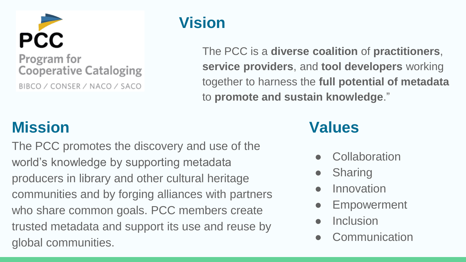

#### **Vision**

The PCC is a **diverse coalition** of **practitioners**, **service providers**, and **tool developers** working together to harness the **full potential of metadata** to **promote and sustain knowledge**."

#### **Mission**

The PCC promotes the discovery and use of the world's knowledge by supporting metadata producers in library and other cultural heritage communities and by forging alliances with partners who share common goals. PCC members create trusted metadata and support its use and reuse by global communities.

#### **Values**

- **Collaboration**
- **Sharing**
- **Innovation**
- **Empowerment**
- **Inclusion**
- **Communication**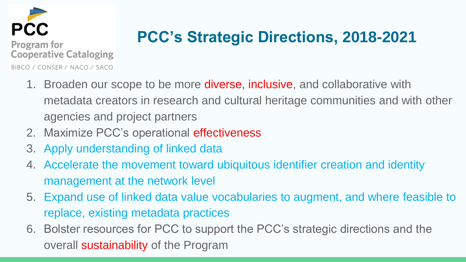

#### **PCC's Strategic Directions, 2018-2021**

- 1. Broaden our scope to be more **diverse, inclusive**, and collaborative with metadata creators in research and cultural heritage communities and with other agencies and project partners
- 2. Maximize PCC's operational effectiveness
- 3. Apply understanding of linked data
- 4. Accelerate the movement toward ubiquitous identifier creation and identity management at the network level
- 5. Expand use of linked data value vocabularies to augment, and where feasible to replace, existing metadata practices
- 6. Bolster resources for PCC to support the PCC's strategic directions and the overall sustainability of the Program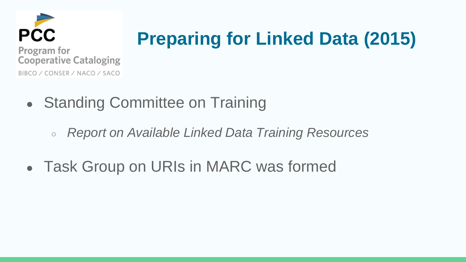

# **Preparing for Linked Data (2015)**

- Standing Committee on Training
	- *Report on Available Linked Data Training Resources*
- Task Group on URIs in MARC was formed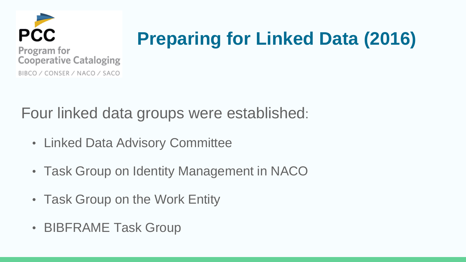

# **Preparing for Linked Data (2016)**

Four linked data groups were established:

- Linked Data Advisory Committee
- Task Group on Identity Management in NACO
- Task Group on the Work Entity
- BIBFRAME Task Group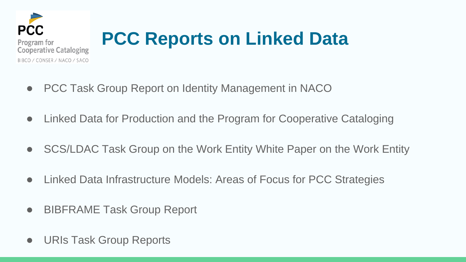

# **PCC Reports on Linked Data**

- PCC Task Group Report on Identity Management in NACO
- Linked Data for Production and the Program for Cooperative Cataloging
- SCS/LDAC Task Group on the Work Entity White Paper on the Work Entity
- Linked Data Infrastructure Models: Areas of Focus for PCC Strategies
- BIBFRAME Task Group Report
- URIs Task Group Reports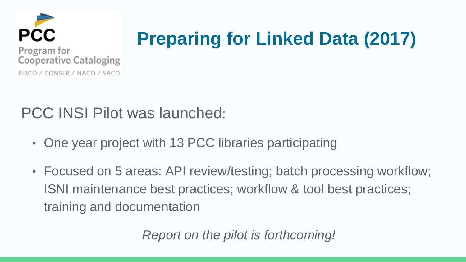

# **Preparing for Linked Data (2017)**

PCC INSI Pilot was launched:

- One year project with 13 PCC libraries participating
- Focused on 5 areas: API review/testing; batch processing workflow; ISNI maintenance best practices; workflow & tool best practices; training and documentation

*Report on the pilot is forthcoming!*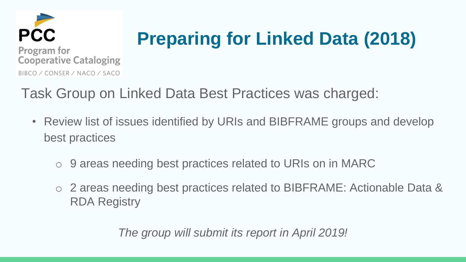

# **Preparing for Linked Data (2018)**

Task Group on Linked Data Best Practices was charged:

- Review list of issues identified by URIs and BIBFRAME groups and develop best practices
	- o 9 areas needing best practices related to URIs on in MARC
	- o 2 areas needing best practices related to BIBFRAME: Actionable Data & RDA Registry

*The group will submit its report in April 2019!*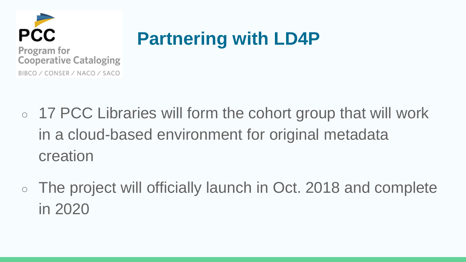

## **Partnering with LD4P**

- 17 PCC Libraries will form the cohort group that will work in a cloud-based environment for original metadata creation
- The project will officially launch in Oct. 2018 and complete in 2020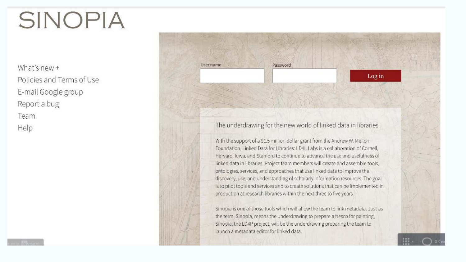# **SINOPIA**

What's new  $+$ Policies and Terms of Use E-mail Google group Report a bug Team Help



#### The underdrawing for the new world of linked data in libraries

With the support of a \$1.5 million dollar grant from the Andrew W. Mellon Foundation, Linked Data for Libraries: LD4L Labs is a collaboration of Cornell. Harvard, Iowa, and Stanford to continue to advance the use and usefulness of linked data in libraries. Project team members will create and assemble tools, ontologies, services, and approaches that use linked data to improve the discovery, use, and understanding of scholarly information resources. The goal is to pilot tools and services and to create solutions that can be implemented in production at research libraries within the next three to five years.

Sinopia is one of those tools which will allow the team to link metadata. Just as the term, Sinopia, means the underdrawing to prepare a fresco for painting, Sinopia, the LD4P project, will be the underdrawing preparing the team to launch a metadata editor for linked data.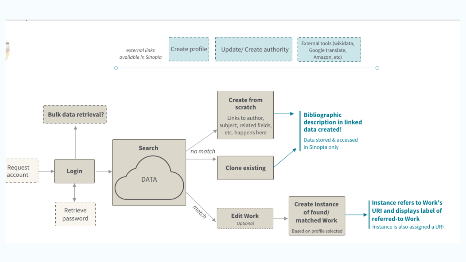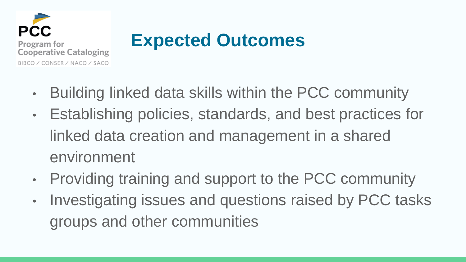

## **Expected Outcomes**

- Building linked data skills within the PCC community
- Establishing policies, standards, and best practices for linked data creation and management in a shared environment
- Providing training and support to the PCC community
- Investigating issues and questions raised by PCC tasks groups and other communities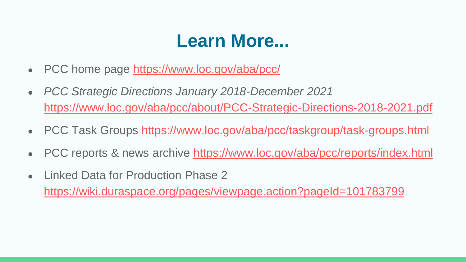### **Learn More...**

- PCC home page <https://www.loc.gov/aba/pcc/>
- *PCC Strategic Directions January 2018-December 2021*  <https://www.loc.gov/aba/pcc/about/PCC-Strategic-Directions-2018-2021.pdf>
- PCC Task Groups https://www.loc.gov/aba/pcc/taskgroup/task-groups.html
- PCC reports & news archive <https://www.loc.gov/aba/pcc/reports/index.html>
- Linked Data for Production Phase 2 https://wiki.duraspace.org/pages/viewpage.action?pageId=101783799